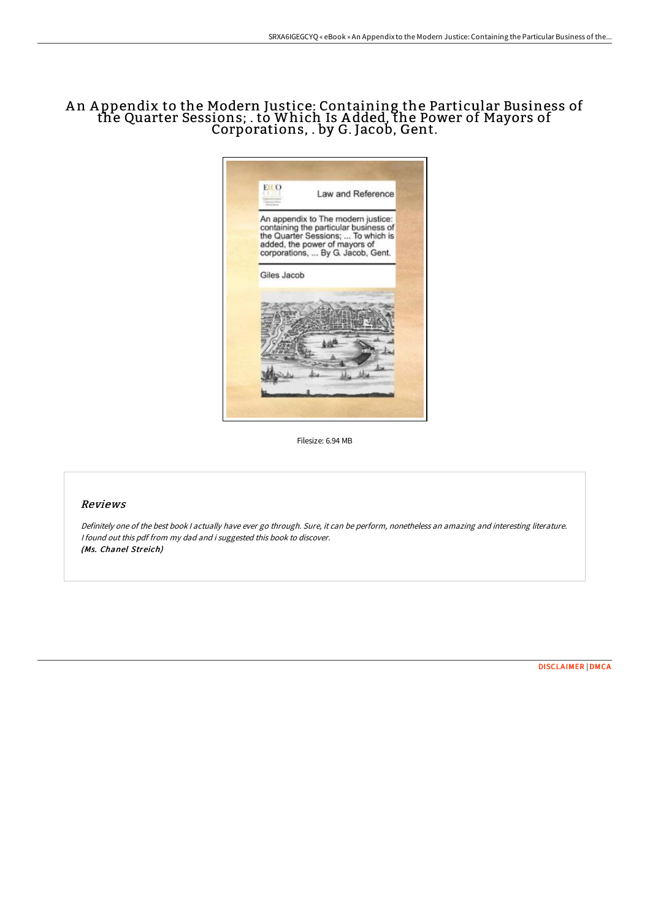# A n A ppendix to the Modern Justice: Containing the Particular Business of the Quarter Sessions; . to Which Is A dded, the Power of Mayors of Corporations, . by G. Jacob, Gent.



Filesize: 6.94 MB

## Reviews

Definitely one of the best book <sup>I</sup> actually have ever go through. Sure, it can be perform, nonetheless an amazing and interesting literature. <sup>I</sup> found out this pdf from my dad and i suggested this book to discover. (Ms. Chanel Streich)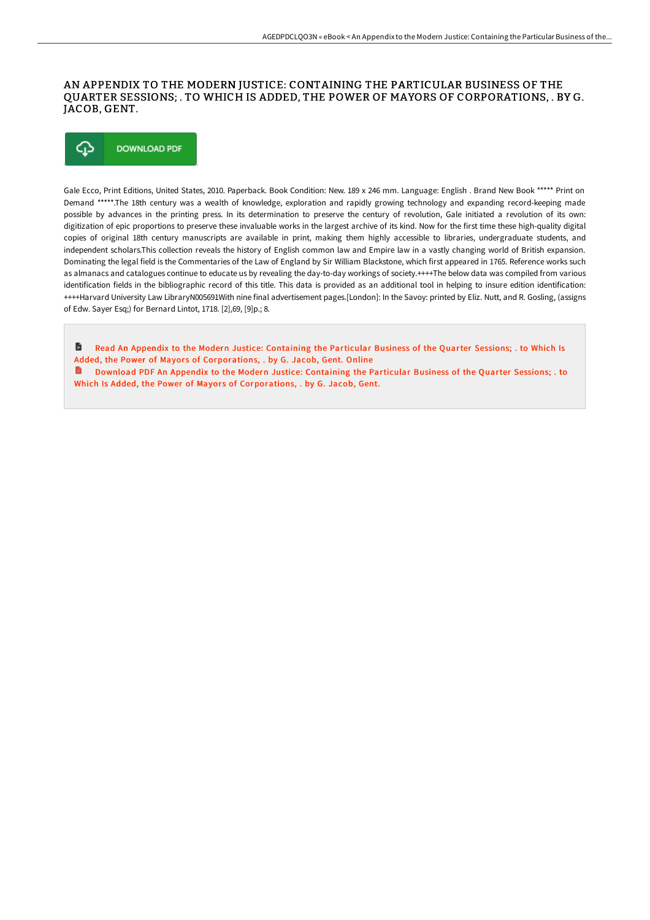## AN APPENDIX TO THE MODERN JUSTICE: CONTAINING THE PARTICULAR BUSINESS OF THE QUARTER SESSIONS; . TO WHICH IS ADDED, THE POWER OF MAYORS OF CORPORATIONS, . BY G. JACOB, GENT.



Gale Ecco, Print Editions, United States, 2010. Paperback. Book Condition: New. 189 x 246 mm. Language: English . Brand New Book \*\*\*\*\* Print on Demand \*\*\*\*\*.The 18th century was a wealth of knowledge, exploration and rapidly growing technology and expanding record-keeping made possible by advances in the printing press. In its determination to preserve the century of revolution, Gale initiated a revolution of its own: digitization of epic proportions to preserve these invaluable works in the largest archive of its kind. Now for the first time these high-quality digital copies of original 18th century manuscripts are available in print, making them highly accessible to libraries, undergraduate students, and independent scholars.This collection reveals the history of English common law and Empire law in a vastly changing world of British expansion. Dominating the legal field is the Commentaries of the Law of England by Sir William Blackstone, which first appeared in 1765. Reference works such as almanacs and catalogues continue to educate us by revealing the day-to-day workings of society.++++The below data was compiled from various identification fields in the bibliographic record of this title. This data is provided as an additional tool in helping to insure edition identification: ++++Harvard University Law LibraryN005691With nine final advertisement pages.[London]: In the Savoy: printed by Eliz. Nutt, and R. Gosling, (assigns of Edw. Sayer Esq;) for Bernard Lintot, 1718. [2],69, [9]p.; 8.

D. Read An Appendix to the Modern Justice: Containing the Particular Business of the Quarter Sessions; . to Which Is Added, the Power of Mayors of [Corporations,](http://techno-pub.tech/an-appendix-to-the-modern-justice-containing-the.html) . by G. Jacob, Gent. Online

Download PDF An Appendix to the Modern Justice: Containing the Particular Business of the Quarter Sessions; . to Which Is Added, the Power of Mayors of [Corporations,](http://techno-pub.tech/an-appendix-to-the-modern-justice-containing-the.html) . by G. Jacob, Gent.